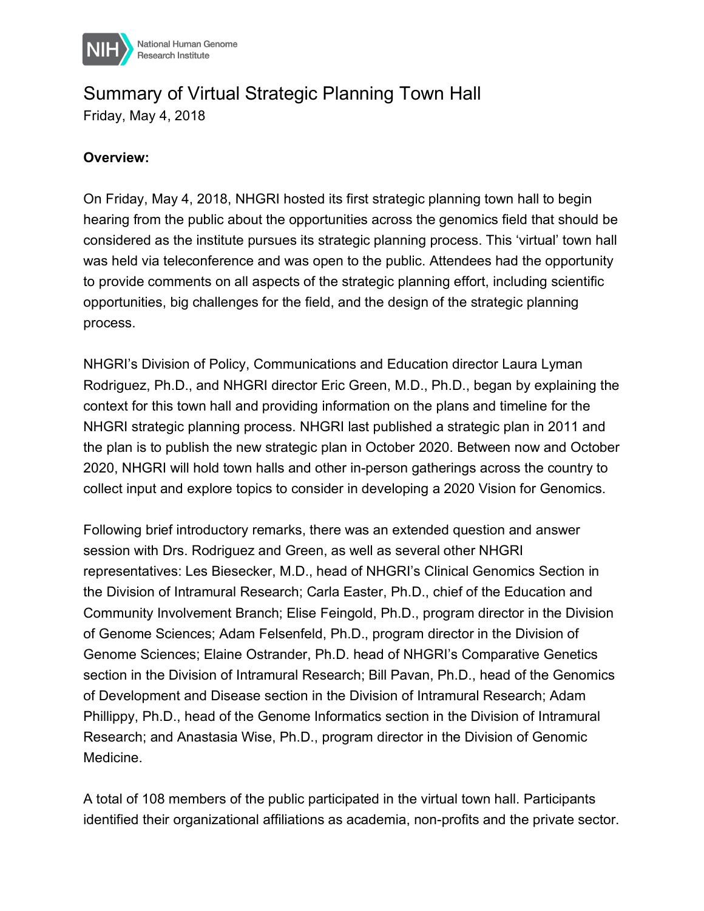

## Summary of Virtual Strategic Planning Town Hall Friday, May 4, 2018

## **Overview:**

On Friday, May 4, 2018, NHGRI hosted its first strategic planning town hall to begin hearing from the public about the opportunities across the genomics field that should be considered as the institute pursues its strategic planning process. This 'virtual' town hall was held via teleconference and was open to the public. Attendees had the opportunity to provide comments on all aspects of the strategic planning effort, including scientific opportunities, big challenges for the field, and the design of the strategic planning process.

NHGRI's Division of Policy, Communications and Education director Laura Lyman Rodriguez, Ph.D., and NHGRI director Eric Green, M.D., Ph.D., began by explaining the context for this town hall and providing information on the plans and timeline for the NHGRI strategic planning process. NHGRI last published a strategic plan in 2011 and the plan is to publish the new strategic plan in October 2020. Between now and October 2020, NHGRI will hold town halls and other in-person gatherings across the country to collect input and explore topics to consider in developing a 2020 Vision for Genomics.

Following brief introductory remarks, there was an extended question and answer session with Drs. Rodriguez and Green, as well as several other NHGRI representatives: Les Biesecker, M.D., head of NHGRI's Clinical Genomics Section in the Division of Intramural Research; Carla Easter, Ph.D., chief of the Education and Community Involvement Branch; Elise Feingold, Ph.D., program director in the Division of Genome Sciences; Adam Felsenfeld, Ph.D., program director in the Division of Genome Sciences; Elaine Ostrander, Ph.D. head of NHGRI's Comparative Genetics section in the Division of Intramural Research; Bill Pavan, Ph.D., head of the Genomics of Development and Disease section in the Division of Intramural Research; Adam Phillippy, Ph.D., head of the Genome Informatics section in the Division of Intramural Research; and Anastasia Wise, Ph.D., program director in the Division of Genomic Medicine.

A total of 108 members of the public participated in the virtual town hall. Participants identified their organizational affiliations as academia, non-profits and the private sector.